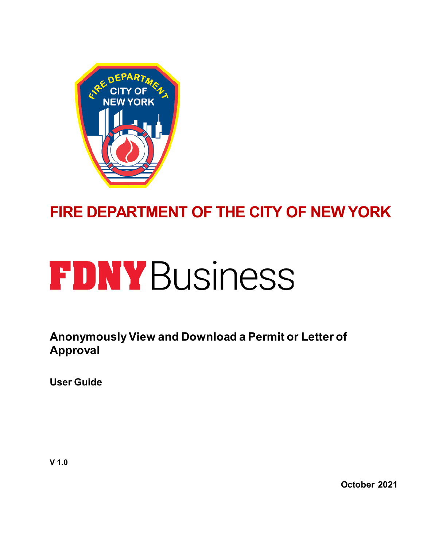

# **FIRE DEPARTMENT OF THE CITY OF NEW YORK**

# **FDNY Business**

**Anonymously View and Download a Permit or Letter of Approval** 

**User Guide**

**October 2021**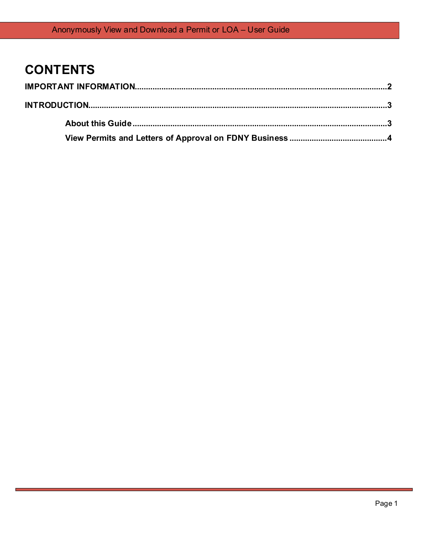# **CONTENTS**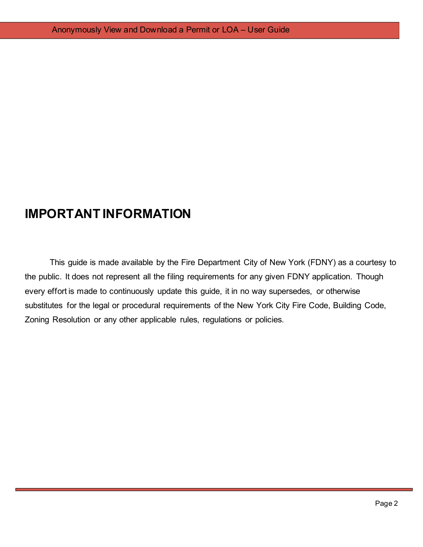# <span id="page-2-0"></span>**IMPORTANT INFORMATION**

This guide is made available by the Fire Department City of New York (FDNY) as a courtesy to the public. It does not represent all the filing requirements for any given FDNY application. Though every effort is made to continuously update this guide, it in no way supersedes, or otherwise substitutes for the legal or procedural requirements of the New York City Fire Code, Building Code, Zoning Resolution or any other applicable rules, regulations or policies.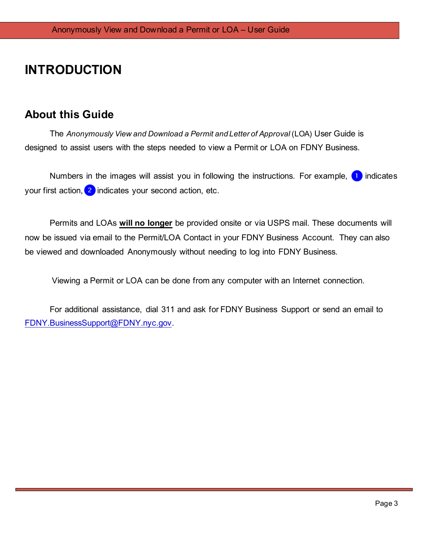# <span id="page-3-0"></span>**INTRODUCTION**

## <span id="page-3-1"></span>**About this Guide**

The *Anonymously View and Download a Permit and Letter of Approval* (LOA) User Guide is designed to assist users with the steps needed to view a Permit or LOA on FDNY Business.

Numbers in the images will assist you in following the instructions. For example,  $\Box$  indicates your first action,  $\overline{2}$  indicates your second action, etc.

Permits and LOAs **will no longer** be provided onsite or via USPS mail. These documents will now be issued via email to the Permit/LOA Contact in your FDNY Business Account. They can also be viewed and downloaded Anonymously without needing to log into FDNY Business.

Viewing a Permit or LOA can be done from any computer with an Internet connection.

For additional assistance, dial 311 and ask for FDNY Business Support or send an email to FDNY.BusinessSupport@FDNY.nyc.gov.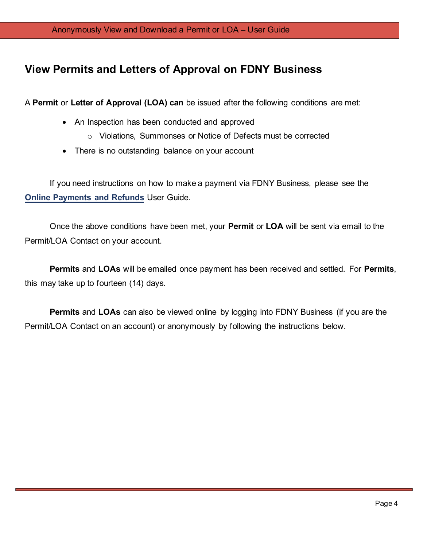## <span id="page-4-0"></span>**View Permits and Letters of Approval on FDNY Business**

A **Permit** or **Letter of Approval (LOA) can** be issued after the following conditions are met:

- An Inspection has been conducted and approved
	- o Violations, Summonses or Notice of Defects must be corrected
- There is no outstanding balance on your account

If you need instructions on how to make a payment via FDNY Business, please see the **Online [Payments and Refunds](https://www1.nyc.gov/assets/fdny/downloads/pdf/business/online-payments-refund-requests.pdf)** User Guide.

Once the above conditions have been met, your **Permit** or **LOA** will be sent via email to the Permit/LOA Contact on your account.

**Permits** and **LOAs** will be emailed once payment has been received and settled. For **Permits**, this may take up to fourteen (14) days.

**Permits** and **LOAs** can also be viewed online by logging into FDNY Business (if you are the Permit/LOA Contact on an account) or anonymously by following the instructions below.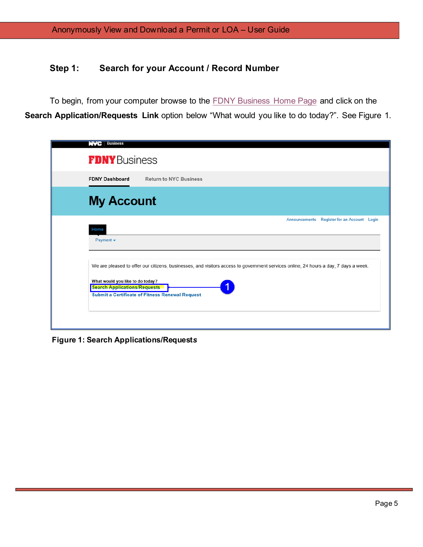### **Step 1: Search for your Account / Record Number**

To begin, from your computer browse to the [FDNY Business Home Page](https://fires.fdnycloud.org/CitizenAccess/Default.aspx) and click on the **Search Application/Requests Link** option below "What would you like to do today?". See Figure 1.

| <b>NYC</b> Business                                                                                             |                                                                                                                                                                                                                                              |
|-----------------------------------------------------------------------------------------------------------------|----------------------------------------------------------------------------------------------------------------------------------------------------------------------------------------------------------------------------------------------|
| <b>FDNY</b> Business                                                                                            |                                                                                                                                                                                                                                              |
| <b>FDNY Dashboard</b>                                                                                           | <b>Return to NYC Business</b>                                                                                                                                                                                                                |
| <b>My Account</b>                                                                                               |                                                                                                                                                                                                                                              |
| Home<br>Payment $\blacktriangledown$<br>What would you like to do today?<br><b>Search Applications/Requests</b> | Announcements Register for an Account Login<br>We are pleased to offer our citizens, businesses, and visitors access to government services online, 24 hours a day, 7 days a week.<br><b>Submit a Certificate of Fitness Renewal Request</b> |

**Figure 1: Search Applications/Request***s*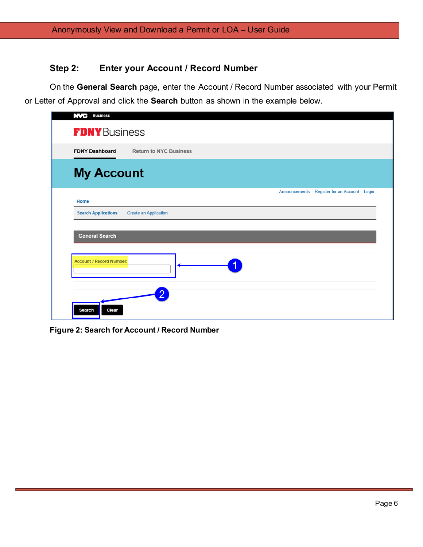#### **Step 2: Enter your Account / Record Number**

On the **General Search** page, enter the Account / Record Number associated with your Permit or Letter of Approval and click the **Search** button as shown in the example below.

| <b>NVC</b> Business             |                               |                                             |  |
|---------------------------------|-------------------------------|---------------------------------------------|--|
| <b>FDNY</b> Business            |                               |                                             |  |
| <b>FDNY Dashboard</b>           | <b>Return to NYC Business</b> |                                             |  |
| <b>My Account</b>               |                               |                                             |  |
| Home                            |                               | Announcements Register for an Account Login |  |
| <b>Search Applications</b>      | <b>Create an Application</b>  |                                             |  |
| <b>General Search</b>           |                               |                                             |  |
| <b>Account / Record Number:</b> |                               |                                             |  |
| Search<br>Clear                 |                               |                                             |  |

**Figure 2: Search for Account / Record Number**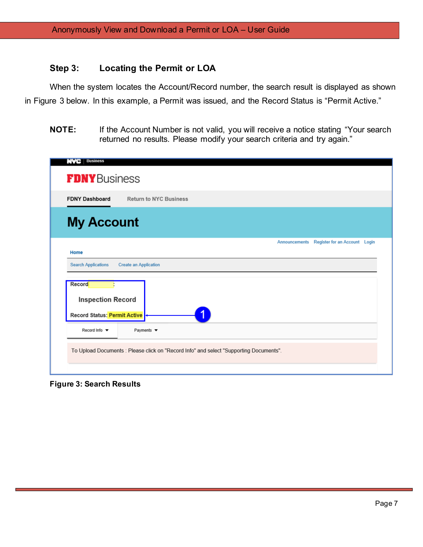#### **Step 3: Locating the Permit or LOA**

When the system locates the Account/Record number, the search result is displayed as shown in Figure 3 below. In this example, a Permit was issued, and the Record Status is "Permit Active."

**NOTE:** If the Account Number is not valid, you will receive a notice stating "Your search returned no results. Please modify your search criteria and try again."

| <b>Lived</b><br><b>Business</b>                                    |                                                                                        |
|--------------------------------------------------------------------|----------------------------------------------------------------------------------------|
| <b>FDNY</b> Business                                               |                                                                                        |
| <b>FDNY Dashboard</b>                                              | <b>Return to NYC Business</b>                                                          |
| <b>My Account</b>                                                  |                                                                                        |
| Home                                                               | Register for an Account Login<br>Announcements                                         |
| <b>Search Applications</b>                                         | <b>Create an Application</b>                                                           |
| Record<br><b>Inspection Record</b><br>Record Status: Permit Active | 1                                                                                      |
| Record Info ▼                                                      | Payments $\blacktriangledown$                                                          |
|                                                                    | To Upload Documents : Please click on "Record Info" and select "Supporting Documents". |

**Figure 3: Search Results**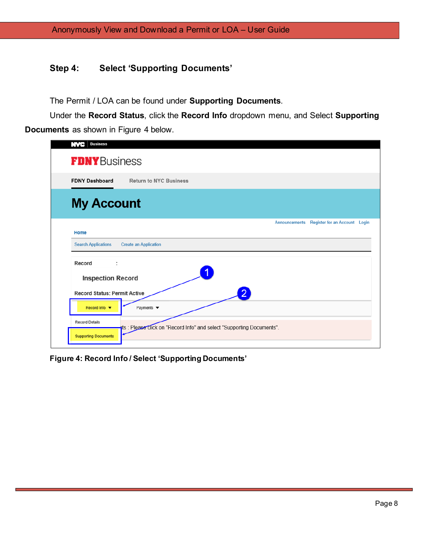#### **Step 4: Select 'Supporting Documents'**

The Permit / LOA can be found under **Supporting Documents**.

Under the **Record Status**, click the **Record Info** dropdown menu, and Select **Supporting Documents** as shown in Figure 4 below.

| <b>Business</b><br>NVC                  |                               |                                                                      |                      |                               |  |
|-----------------------------------------|-------------------------------|----------------------------------------------------------------------|----------------------|-------------------------------|--|
| <b>FDNY</b> Business                    |                               |                                                                      |                      |                               |  |
| <b>FDNY Dashboard</b>                   | <b>Return to NYC Business</b> |                                                                      |                      |                               |  |
| <b>My Account</b>                       |                               |                                                                      |                      |                               |  |
| Home                                    |                               |                                                                      | <b>Announcements</b> | Register for an Account Login |  |
| <b>Search Applications</b>              | <b>Create an Application</b>  |                                                                      |                      |                               |  |
| Record<br>÷<br><b>Inspection Record</b> |                               |                                                                      |                      |                               |  |
| <b>Record Status: Permit Active</b>     |                               |                                                                      |                      |                               |  |
| Record Info ▼                           | Payments $\blacktriangledown$ |                                                                      |                      |                               |  |
| <b>Record Details</b>                   |                               | ts: Please click on "Record Info" and select "Supporting Documents". |                      |                               |  |
| <b>Supporting Documents</b>             |                               |                                                                      |                      |                               |  |

**Figure 4: Record Info / Select 'Supporting Documents'**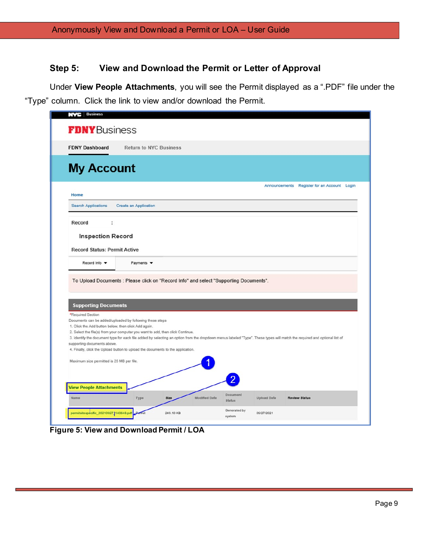#### **Step 5: View and Download the Permit or Letter of Approval**

Under **View People Attachments**, you will see the Permit displayed as a ".PDF" file under the "Type" column. Click the link to view and/or download the Permit.

| <b>NVC</b> Business                                                                                                                                                                                                                                                                                                                                                                                                                                                |                               |             |               |                           |                    |                                                                                                                                                                           |  |
|--------------------------------------------------------------------------------------------------------------------------------------------------------------------------------------------------------------------------------------------------------------------------------------------------------------------------------------------------------------------------------------------------------------------------------------------------------------------|-------------------------------|-------------|---------------|---------------------------|--------------------|---------------------------------------------------------------------------------------------------------------------------------------------------------------------------|--|
| <b>FDNY</b> Business                                                                                                                                                                                                                                                                                                                                                                                                                                               |                               |             |               |                           |                    |                                                                                                                                                                           |  |
| <b>FDNY Dashboard</b>                                                                                                                                                                                                                                                                                                                                                                                                                                              | <b>Return to NYC Business</b> |             |               |                           |                    |                                                                                                                                                                           |  |
| <b>My Account</b>                                                                                                                                                                                                                                                                                                                                                                                                                                                  |                               |             |               |                           |                    |                                                                                                                                                                           |  |
| Home                                                                                                                                                                                                                                                                                                                                                                                                                                                               |                               |             |               |                           |                    | Announcements Register for an Account Login                                                                                                                               |  |
| <b>Search Applications</b>                                                                                                                                                                                                                                                                                                                                                                                                                                         | <b>Create an Application</b>  |             |               |                           |                    |                                                                                                                                                                           |  |
| <b>Inspection Record</b><br><b>Record Status: Permit Active</b>                                                                                                                                                                                                                                                                                                                                                                                                    |                               |             |               |                           |                    |                                                                                                                                                                           |  |
|                                                                                                                                                                                                                                                                                                                                                                                                                                                                    |                               |             |               |                           |                    |                                                                                                                                                                           |  |
| Record Info $\blacktriangledown$                                                                                                                                                                                                                                                                                                                                                                                                                                   | Payments v                    |             |               |                           |                    |                                                                                                                                                                           |  |
| To Upload Documents : Please click on "Record Info" and select "Supporting Documents".<br><b>Supporting Documents</b><br>*Required Section<br>Documents can be added/uploaded by following these steps<br>1. Click the Add button below, then click Add again.<br>2. Select the file(s) from your computer you want to add, then click Continue.<br>supporting documents above.<br>4. Finally, click the Upload button to upload the documents to the application. |                               |             |               |                           |                    | 3. Identify the document type for each file added by selecting an option from the dropdown menus labeled "Type". These types will match the required and optional list of |  |
| Maximum size permitted is 25 MB per file.                                                                                                                                                                                                                                                                                                                                                                                                                          |                               |             |               |                           |                    |                                                                                                                                                                           |  |
| <b>View People Attachments</b><br>Name                                                                                                                                                                                                                                                                                                                                                                                                                             | Type                          | <b>Size</b> | Modified Date | Document<br><b>Status</b> | <b>Upload Date</b> | <b>Review Status</b>                                                                                                                                                      |  |

**Figure 5: View and Download Permit / LOA**